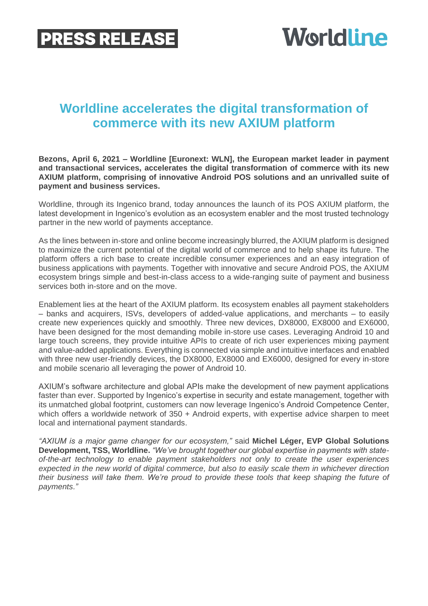## **PRESS RELEASE**

# **Worldline**

## **Worldline accelerates the digital transformation of commerce with its new AXIUM platform**

**Bezons, April 6, 2021 – Worldline [Euronext: WLN], the European market leader in payment and transactional services, accelerates the digital transformation of commerce with its new AXIUM platform, comprising of innovative Android POS solutions and an unrivalled suite of payment and business services.**

Worldline, through its Ingenico brand, today announces the launch of its POS AXIUM platform, the latest development in Ingenico's evolution as an ecosystem enabler and the most trusted technology partner in the new world of payments acceptance.

As the lines between in-store and online become increasingly blurred, the AXIUM platform is designed to maximize the current potential of the digital world of commerce and to help shape its future. The platform offers a rich base to create incredible consumer experiences and an easy integration of business applications with payments. Together with innovative and secure Android POS, the AXIUM ecosystem brings simple and best-in-class access to a wide-ranging suite of payment and business services both in-store and on the move.

Enablement lies at the heart of the AXIUM platform. Its ecosystem enables all payment stakeholders – banks and acquirers, ISVs, developers of added-value applications, and merchants – to easily create new experiences quickly and smoothly. Three new devices, DX8000, EX8000 and EX6000, have been designed for the most demanding mobile in-store use cases. Leveraging Android 10 and large touch screens, they provide intuitive APIs to create of rich user experiences mixing payment and value-added applications. Everything is connected via simple and intuitive interfaces and enabled with three new user-friendly devices, the DX8000, EX8000 and EX6000, designed for every in-store and mobile scenario all leveraging the power of Android 10.

AXIUM's software architecture and global APIs make the development of new payment applications faster than ever. Supported by Ingenico's expertise in security and estate management, together with its unmatched global footprint, customers can now leverage Ingenico's Android Competence Center, which offers a worldwide network of 350 + Android experts, with expertise advice sharpen to meet local and international payment standards.

*"AXIUM is a major game changer for our ecosystem,"* said **Michel Léger, EVP Global Solutions Development, TSS, Worldline.** *"We've brought together our global expertise in payments with stateof-the-art technology to enable payment stakeholders not only to create the user experiences expected in the new world of digital commerce, but also to easily scale them in whichever direction their business will take them. We're proud to provide these tools that keep shaping the future of payments."*